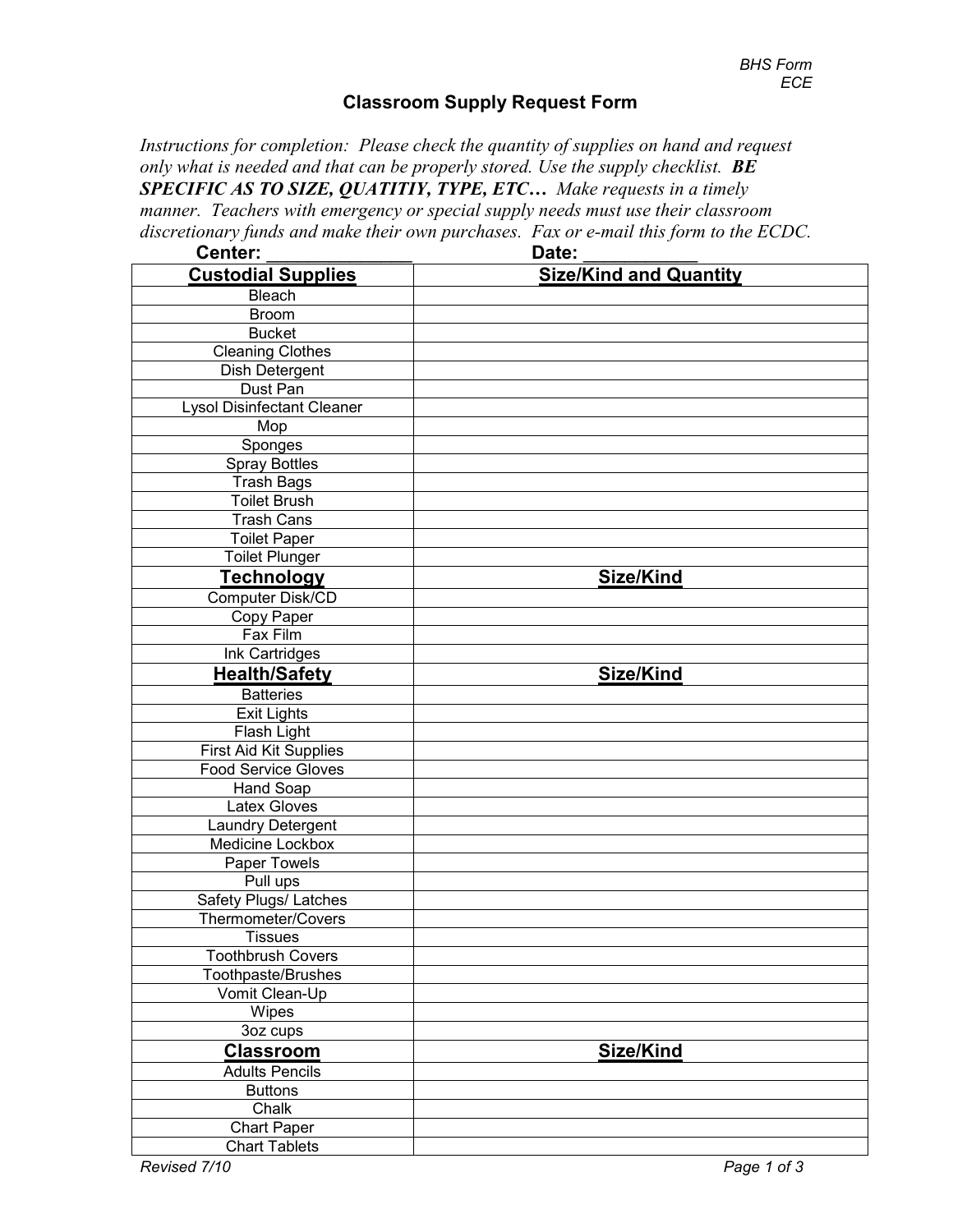## **Classroom Supply Request Form**

*Instructions for completion: Please check the quantity of supplies on hand and request only what is needed and that can be properly stored. Use the supply checklist. BE SPECIFIC AS TO SIZE, QUATITIY, TYPE, ETC… Make requests in a timely manner. Teachers with emergency or special supply needs must use their classroom discretionary funds and make their own purchases. Fax or e-mail this form to the ECDC.*

| Center:                           | Date:                         |
|-----------------------------------|-------------------------------|
| <b>Custodial Supplies</b>         | <b>Size/Kind and Quantity</b> |
| Bleach                            |                               |
| <b>Broom</b>                      |                               |
| <b>Bucket</b>                     |                               |
| <b>Cleaning Clothes</b>           |                               |
| Dish Detergent                    |                               |
| Dust Pan                          |                               |
| <b>Lysol Disinfectant Cleaner</b> |                               |
| Mop                               |                               |
| Sponges                           |                               |
| Spray Bottles                     |                               |
| <b>Trash Bags</b>                 |                               |
| Toilet Brush                      |                               |
| <b>Trash Cans</b>                 |                               |
| <b>Toilet Paper</b>               |                               |
| <b>Toilet Plunger</b>             |                               |
| <b>Technology</b>                 | Size/Kind                     |
| Computer Disk/CD                  |                               |
| Copy Paper                        |                               |
| Fax Film                          |                               |
| Ink Cartridges                    |                               |
| <b>Health/Safety</b>              | Size/Kind                     |
| <b>Batteries</b>                  |                               |
| <b>Exit Lights</b>                |                               |
| Flash Light                       |                               |
| <b>First Aid Kit Supplies</b>     |                               |
| <b>Food Service Gloves</b>        |                               |
| <b>Hand Soap</b>                  |                               |
| <b>Latex Gloves</b>               |                               |
| Laundry Detergent                 |                               |
| Medicine Lockbox                  |                               |
| Paper Towels                      |                               |
| Pull ups                          |                               |
| Safety Plugs/ Latches             |                               |
| Thermometer/Covers                |                               |
| <b>Tissues</b>                    |                               |
| <b>Toothbrush Covers</b>          |                               |
| Toothpaste/Brushes                |                               |
| Vomit Clean-Up                    |                               |
| Wipes                             |                               |
| 3oz cups                          |                               |
| <b>Classroom</b>                  | Size/Kind                     |
| <b>Adults Pencils</b>             |                               |
| <b>Buttons</b>                    |                               |
| Chalk                             |                               |
| <b>Chart Paper</b>                |                               |
| <b>Chart Tablets</b>              |                               |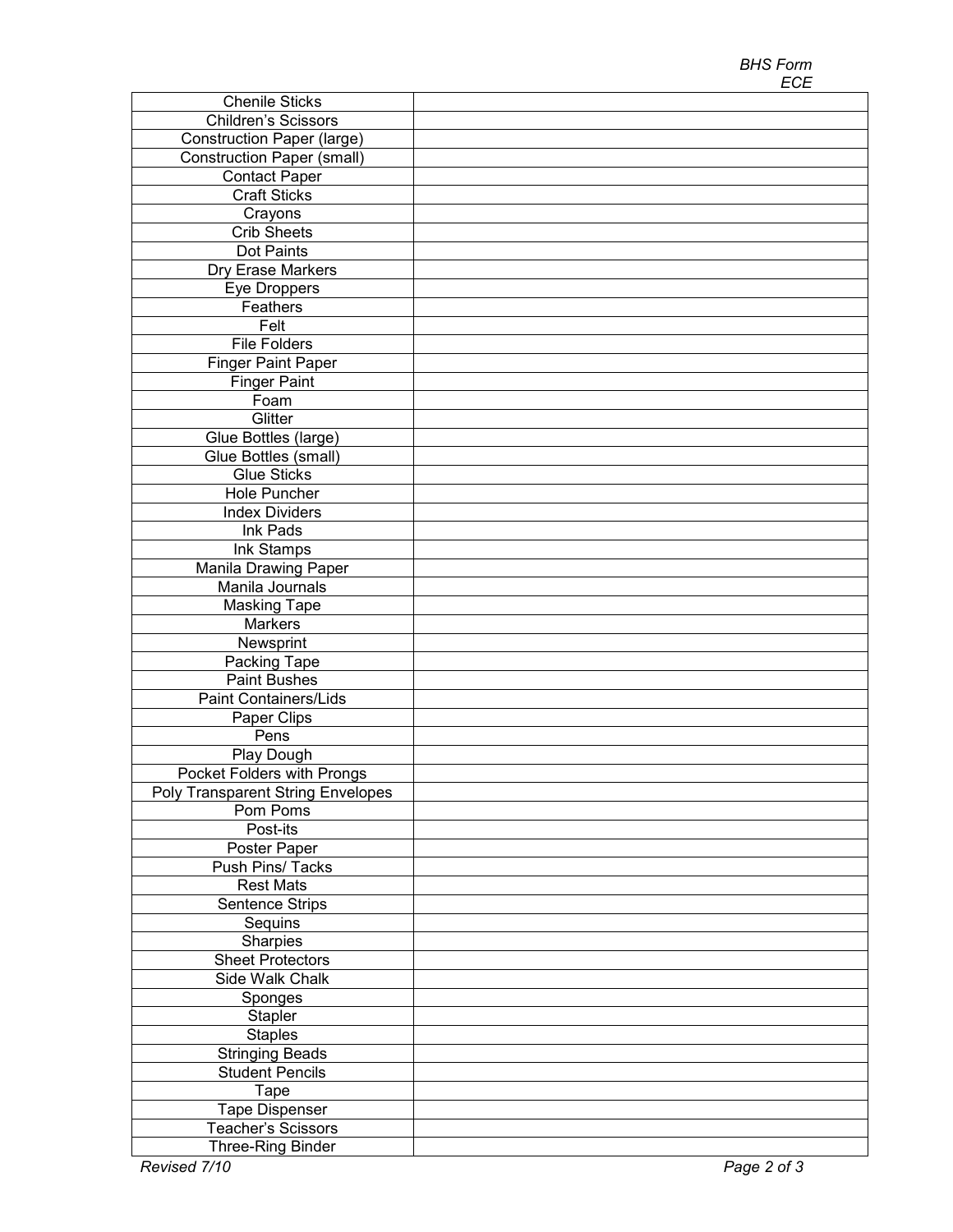| <b>Chenile Sticks</b>                    |             |
|------------------------------------------|-------------|
| Children's Scissors                      |             |
| <b>Construction Paper (large)</b>        |             |
| <b>Construction Paper (small)</b>        |             |
| <b>Contact Paper</b>                     |             |
| <b>Craft Sticks</b>                      |             |
| Crayons                                  |             |
| <b>Crib Sheets</b>                       |             |
| Dot Paints                               |             |
| Dry Erase Markers                        |             |
| Eye Droppers                             |             |
| Feathers                                 |             |
| Felt                                     |             |
| <b>File Folders</b>                      |             |
| <b>Finger Paint Paper</b>                |             |
| <b>Finger Paint</b>                      |             |
| $\overline{F}$ oam                       |             |
| Glitter                                  |             |
| Glue Bottles (large)                     |             |
| Glue Bottles (small)                     |             |
| <b>Glue Sticks</b>                       |             |
| Hole Puncher                             |             |
| <b>Index Dividers</b>                    |             |
| Ink Pads                                 |             |
| Ink Stamps                               |             |
| Manila Drawing Paper                     |             |
| Manila Journals                          |             |
| <b>Masking Tape</b>                      |             |
| Markers                                  |             |
| Newsprint                                |             |
| Packing Tape                             |             |
| <b>Paint Bushes</b>                      |             |
| Paint Containers/Lids                    |             |
| Paper Clips                              |             |
| Pens                                     |             |
| Play Dough                               |             |
| Pocket Folders with Prongs               |             |
| <b>Poly Transparent String Envelopes</b> |             |
| Pom Poms                                 |             |
| Post-its                                 |             |
| Poster Paper                             |             |
| Push Pins/ Tacks                         |             |
| <b>Rest Mats</b>                         |             |
| Sentence Strips                          |             |
| Sequins                                  |             |
| Sharpies                                 |             |
| <b>Sheet Protectors</b>                  |             |
| Side Walk Chalk                          |             |
| Sponges                                  |             |
| Stapler                                  |             |
| <b>Staples</b>                           |             |
| <b>Stringing Beads</b>                   |             |
| <b>Student Pencils</b>                   |             |
| Tape                                     |             |
| <b>Tape Dispenser</b>                    |             |
| Teacher's Scissors                       |             |
| Three-Ring Binder                        |             |
| Revised 7/10                             | Page 2 of 3 |